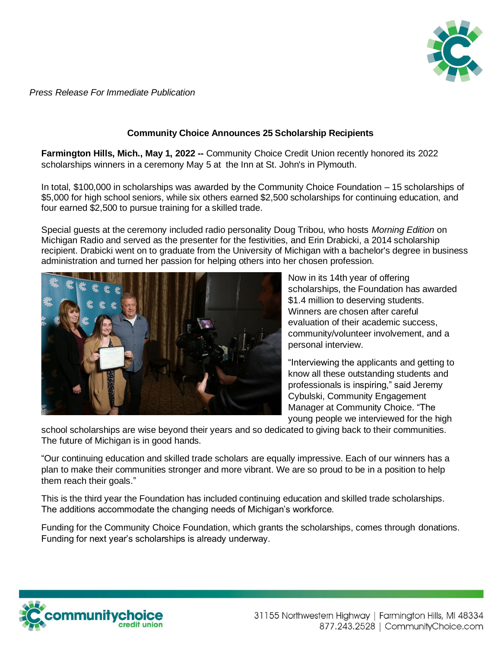

*Press Release For Immediate Publication*

## **Community Choice Announces 25 Scholarship Recipients**

**Farmington Hills, Mich., May 1, 2022 --** Community Choice Credit Union recently honored its 2022 scholarships winners in a ceremony May 5 at the Inn at St. John's in Plymouth.

In total, \$100,000 in scholarships was awarded by the Community Choice Foundation – 15 scholarships of \$5,000 for high school seniors, while six others earned \$2,500 scholarships for continuing education, and four earned \$2,500 to pursue training for a skilled trade.

Special guests at the ceremony included radio personality Doug Tribou, who hosts *Morning Edition* on Michigan Radio and served as the presenter for the festivities, and Erin Drabicki, a 2014 scholarship recipient. Drabicki went on to graduate from the University of Michigan with a bachelor's degree in business administration and turned her passion for helping others into her chosen profession.



Now in its 14th year of offering scholarships, the Foundation has awarded \$1.4 million to deserving students. Winners are chosen after careful evaluation of their academic success, community/volunteer involvement, and a personal interview.

"Interviewing the applicants and getting to know all these outstanding students and professionals is inspiring," said Jeremy Cybulski, Community Engagement Manager at Community Choice. "The young people we interviewed for the high

school scholarships are wise beyond their years and so dedicated to giving back to their communities. The future of Michigan is in good hands.

"Our continuing education and skilled trade scholars are equally impressive. Each of our winners has a plan to make their communities stronger and more vibrant. We are so proud to be in a position to help them reach their goals."

This is the third year the Foundation has included continuing education and skilled trade scholarships. The additions accommodate the changing needs of Michigan's workforce.

Funding for the Community Choice Foundation, which grants the scholarships, comes through donations. Funding for next year's scholarships is already underway.